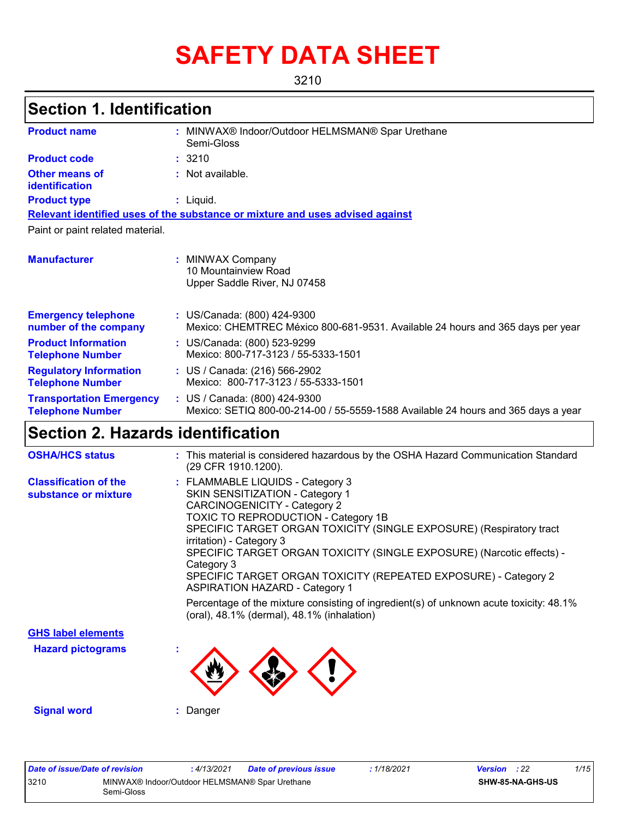# **SAFETY DATA SHEET**

3210

### **Section 1. Identification**

| <b>Product name</b>                                        | t. | MINWAX® Indoor/Outdoor HELMSMAN® Spar Urethane<br>Semi-Gloss                                                       |
|------------------------------------------------------------|----|--------------------------------------------------------------------------------------------------------------------|
| <b>Product code</b>                                        |    | : 3210                                                                                                             |
| <b>Other means of</b><br>identification                    |    | : Not available.                                                                                                   |
| <b>Product type</b>                                        |    | : Liquid.                                                                                                          |
|                                                            |    | Relevant identified uses of the substance or mixture and uses advised against                                      |
| Paint or paint related material.                           |    |                                                                                                                    |
|                                                            |    |                                                                                                                    |
| <b>Manufacturer</b>                                        | t. | MINWAX Company<br>10 Mountainview Road<br>Upper Saddle River, NJ 07458                                             |
| <b>Emergency telephone</b><br>number of the company        |    | : US/Canada: (800) 424-9300<br>Mexico: CHEMTREC México 800-681-9531. Available 24 hours and 365 days per year      |
| <b>Product Information</b><br><b>Telephone Number</b>      |    | : US/Canada: (800) 523-9299<br>Mexico: 800-717-3123 / 55-5333-1501                                                 |
| <b>Regulatory Information</b><br><b>Telephone Number</b>   |    | : US / Canada: (216) 566-2902<br>Mexico: 800-717-3123 / 55-5333-1501                                               |
| <b>Transportation Emergency</b><br><b>Telephone Number</b> |    | : US / Canada: (800) 424-9300<br>Mexico: SETIQ 800-00-214-00 / 55-5559-1588 Available 24 hours and 365 days a year |

# **Section 2. Hazards identification**

| <b>OSHA/HCS status</b>                               | : This material is considered hazardous by the OSHA Hazard Communication Standard<br>(29 CFR 1910.1200).                                                                                                                                                                                                                                                                                                                                                                                                                                                                                        |
|------------------------------------------------------|-------------------------------------------------------------------------------------------------------------------------------------------------------------------------------------------------------------------------------------------------------------------------------------------------------------------------------------------------------------------------------------------------------------------------------------------------------------------------------------------------------------------------------------------------------------------------------------------------|
| <b>Classification of the</b><br>substance or mixture | : FLAMMABLE LIQUIDS - Category 3<br>SKIN SENSITIZATION - Category 1<br><b>CARCINOGENICITY - Category 2</b><br>TOXIC TO REPRODUCTION - Category 1B<br>SPECIFIC TARGET ORGAN TOXICITY (SINGLE EXPOSURE) (Respiratory tract<br>irritation) - Category 3<br>SPECIFIC TARGET ORGAN TOXICITY (SINGLE EXPOSURE) (Narcotic effects) -<br>Category 3<br>SPECIFIC TARGET ORGAN TOXICITY (REPEATED EXPOSURE) - Category 2<br><b>ASPIRATION HAZARD - Category 1</b><br>Percentage of the mixture consisting of ingredient(s) of unknown acute toxicity: 48.1%<br>(oral), 48.1% (dermal), 48.1% (inhalation) |
| <b>GHS label elements</b>                            |                                                                                                                                                                                                                                                                                                                                                                                                                                                                                                                                                                                                 |
| <b>Hazard pictograms</b>                             |                                                                                                                                                                                                                                                                                                                                                                                                                                                                                                                                                                                                 |
| <b>Signal word</b>                                   | : Danger                                                                                                                                                                                                                                                                                                                                                                                                                                                                                                                                                                                        |

| Date of issue/Date of revision |                                                              | : 4/13/2021 | <b>Date of previous issue</b> | : 1/18/2021 | <b>Version</b> : 22 |                         | 1/15 |
|--------------------------------|--------------------------------------------------------------|-------------|-------------------------------|-------------|---------------------|-------------------------|------|
| 3210                           | MINWAX® Indoor/Outdoor HELMSMAN® Spar Urethane<br>Semi-Gloss |             |                               |             |                     | <b>SHW-85-NA-GHS-US</b> |      |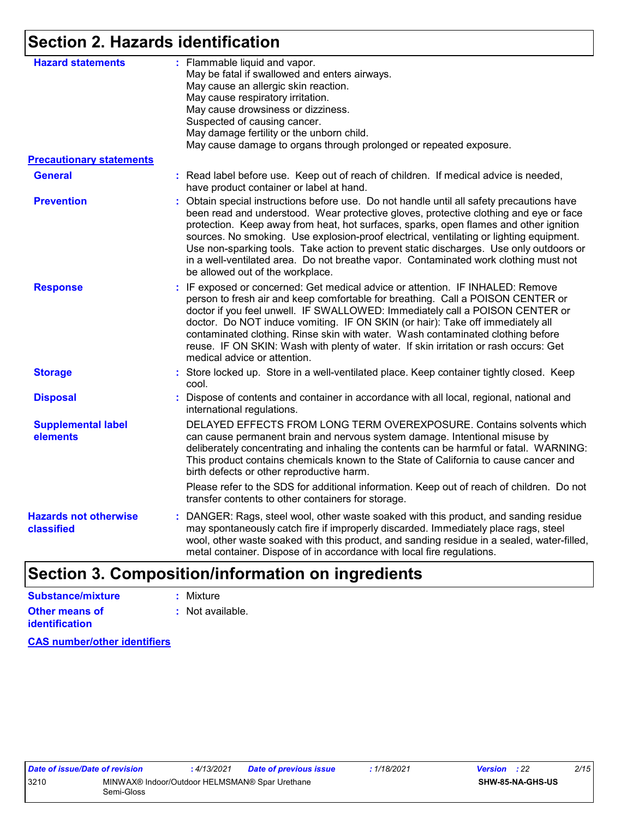### **Section 2. Hazards identification**

| <b>Hazard statements</b>                   | : Flammable liquid and vapor.<br>May be fatal if swallowed and enters airways.<br>May cause an allergic skin reaction.<br>May cause respiratory irritation.<br>May cause drowsiness or dizziness.<br>Suspected of causing cancer.<br>May damage fertility or the unborn child.<br>May cause damage to organs through prolonged or repeated exposure.                                                                                                                                                                                                                                         |
|--------------------------------------------|----------------------------------------------------------------------------------------------------------------------------------------------------------------------------------------------------------------------------------------------------------------------------------------------------------------------------------------------------------------------------------------------------------------------------------------------------------------------------------------------------------------------------------------------------------------------------------------------|
| <b>Precautionary statements</b>            |                                                                                                                                                                                                                                                                                                                                                                                                                                                                                                                                                                                              |
| <b>General</b>                             | : Read label before use. Keep out of reach of children. If medical advice is needed,<br>have product container or label at hand.                                                                                                                                                                                                                                                                                                                                                                                                                                                             |
| <b>Prevention</b>                          | : Obtain special instructions before use. Do not handle until all safety precautions have<br>been read and understood. Wear protective gloves, protective clothing and eye or face<br>protection. Keep away from heat, hot surfaces, sparks, open flames and other ignition<br>sources. No smoking. Use explosion-proof electrical, ventilating or lighting equipment.<br>Use non-sparking tools. Take action to prevent static discharges. Use only outdoors or<br>in a well-ventilated area. Do not breathe vapor. Contaminated work clothing must not<br>be allowed out of the workplace. |
| <b>Response</b>                            | : IF exposed or concerned: Get medical advice or attention. IF INHALED: Remove<br>person to fresh air and keep comfortable for breathing. Call a POISON CENTER or<br>doctor if you feel unwell. IF SWALLOWED: Immediately call a POISON CENTER or<br>doctor. Do NOT induce vomiting. IF ON SKIN (or hair): Take off immediately all<br>contaminated clothing. Rinse skin with water. Wash contaminated clothing before<br>reuse. IF ON SKIN: Wash with plenty of water. If skin irritation or rash occurs: Get<br>medical advice or attention.                                               |
| <b>Storage</b>                             | : Store locked up. Store in a well-ventilated place. Keep container tightly closed. Keep<br>cool.                                                                                                                                                                                                                                                                                                                                                                                                                                                                                            |
| <b>Disposal</b>                            | : Dispose of contents and container in accordance with all local, regional, national and<br>international regulations.                                                                                                                                                                                                                                                                                                                                                                                                                                                                       |
| <b>Supplemental label</b><br>elements      | DELAYED EFFECTS FROM LONG TERM OVEREXPOSURE. Contains solvents which<br>can cause permanent brain and nervous system damage. Intentional misuse by<br>deliberately concentrating and inhaling the contents can be harmful or fatal. WARNING:<br>This product contains chemicals known to the State of California to cause cancer and<br>birth defects or other reproductive harm.                                                                                                                                                                                                            |
|                                            | Please refer to the SDS for additional information. Keep out of reach of children. Do not<br>transfer contents to other containers for storage.                                                                                                                                                                                                                                                                                                                                                                                                                                              |
| <b>Hazards not otherwise</b><br>classified | : DANGER: Rags, steel wool, other waste soaked with this product, and sanding residue<br>may spontaneously catch fire if improperly discarded. Immediately place rags, steel<br>wool, other waste soaked with this product, and sanding residue in a sealed, water-filled,<br>metal container. Dispose of in accordance with local fire regulations.                                                                                                                                                                                                                                         |
|                                            |                                                                                                                                                                                                                                                                                                                                                                                                                                                                                                                                                                                              |

### **Section 3. Composition/information on ingredients**

| Substance/mixture                              | : Mixture        |
|------------------------------------------------|------------------|
| <b>Other means of</b><br><b>identification</b> | : Not available. |

**CAS number/other identifiers**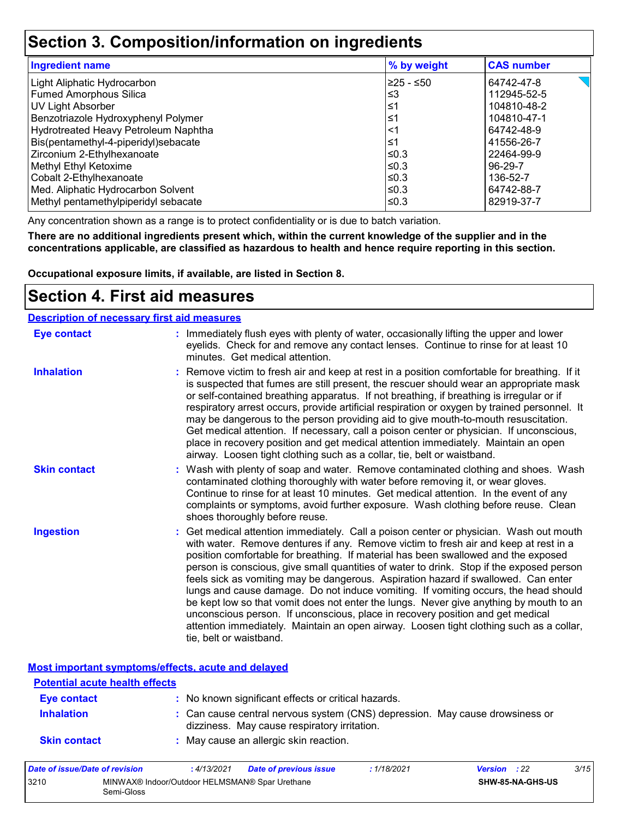### **Section 3. Composition/information on ingredients**

| <b>Ingredient name</b>               | % by weight | <b>CAS number</b> |
|--------------------------------------|-------------|-------------------|
| Light Aliphatic Hydrocarbon          | l≥25 - ≤50  | 64742-47-8        |
| <b>Fumed Amorphous Silica</b>        | ՝≤3         | 112945-52-5       |
| UV Light Absorber                    | ∣≤1         | 104810-48-2       |
| Benzotriazole Hydroxyphenyl Polymer  | ∣≤1         | 104810-47-1       |
| Hydrotreated Heavy Petroleum Naphtha | <1          | 64742-48-9        |
| Bis(pentamethyl-4-piperidyl)sebacate | ∣≤1         | 41556-26-7        |
| Zirconium 2-Ethylhexanoate           | l≤0.3       | 22464-99-9        |
| Methyl Ethyl Ketoxime                | l≤0.3       | 96-29-7           |
| Cobalt 2-Ethylhexanoate              | l≤0.3       | 136-52-7          |
| Med. Aliphatic Hydrocarbon Solvent   | ≤0.3        | 64742-88-7        |
| Methyl pentamethylpiperidyl sebacate | ≤0.3        | 82919-37-7        |

Any concentration shown as a range is to protect confidentiality or is due to batch variation.

**There are no additional ingredients present which, within the current knowledge of the supplier and in the concentrations applicable, are classified as hazardous to health and hence require reporting in this section.**

**Occupational exposure limits, if available, are listed in Section 8.**

### **Section 4. First aid measures**

| <b>Description of necessary first aid measures</b> |                                                                                                                                                                                                                                                                                                                                                                                                                                                                                                                                                                                                                                                                                                                                                                                                                                                 |
|----------------------------------------------------|-------------------------------------------------------------------------------------------------------------------------------------------------------------------------------------------------------------------------------------------------------------------------------------------------------------------------------------------------------------------------------------------------------------------------------------------------------------------------------------------------------------------------------------------------------------------------------------------------------------------------------------------------------------------------------------------------------------------------------------------------------------------------------------------------------------------------------------------------|
| <b>Eye contact</b>                                 | : Immediately flush eyes with plenty of water, occasionally lifting the upper and lower<br>eyelids. Check for and remove any contact lenses. Continue to rinse for at least 10<br>minutes. Get medical attention.                                                                                                                                                                                                                                                                                                                                                                                                                                                                                                                                                                                                                               |
| <b>Inhalation</b>                                  | : Remove victim to fresh air and keep at rest in a position comfortable for breathing. If it<br>is suspected that fumes are still present, the rescuer should wear an appropriate mask<br>or self-contained breathing apparatus. If not breathing, if breathing is irregular or if<br>respiratory arrest occurs, provide artificial respiration or oxygen by trained personnel. It<br>may be dangerous to the person providing aid to give mouth-to-mouth resuscitation.<br>Get medical attention. If necessary, call a poison center or physician. If unconscious,<br>place in recovery position and get medical attention immediately. Maintain an open<br>airway. Loosen tight clothing such as a collar, tie, belt or waistband.                                                                                                            |
| <b>Skin contact</b>                                | : Wash with plenty of soap and water. Remove contaminated clothing and shoes. Wash<br>contaminated clothing thoroughly with water before removing it, or wear gloves.<br>Continue to rinse for at least 10 minutes. Get medical attention. In the event of any<br>complaints or symptoms, avoid further exposure. Wash clothing before reuse. Clean<br>shoes thoroughly before reuse.                                                                                                                                                                                                                                                                                                                                                                                                                                                           |
| <b>Ingestion</b>                                   | : Get medical attention immediately. Call a poison center or physician. Wash out mouth<br>with water. Remove dentures if any. Remove victim to fresh air and keep at rest in a<br>position comfortable for breathing. If material has been swallowed and the exposed<br>person is conscious, give small quantities of water to drink. Stop if the exposed person<br>feels sick as vomiting may be dangerous. Aspiration hazard if swallowed. Can enter<br>lungs and cause damage. Do not induce vomiting. If vomiting occurs, the head should<br>be kept low so that vomit does not enter the lungs. Never give anything by mouth to an<br>unconscious person. If unconscious, place in recovery position and get medical<br>attention immediately. Maintain an open airway. Loosen tight clothing such as a collar,<br>tie, belt or waistband. |

**Most important symptoms/effects, acute and delayed**

| <b>Potential acute health effects</b> |                                                                                                                              |
|---------------------------------------|------------------------------------------------------------------------------------------------------------------------------|
| Eye contact                           | : No known significant effects or critical hazards.                                                                          |
| <b>Inhalation</b>                     | : Can cause central nervous system (CNS) depression. May cause drowsiness or<br>dizziness. May cause respiratory irritation. |
| <b>Skin contact</b>                   | : May cause an allergic skin reaction.                                                                                       |

| Date of issue/Date of revision |                                                              | : 4/13/2021 | <b>Date of previous issue</b> | 1/18/2021 | <b>Version</b> : 22 |                         | 3/15 |
|--------------------------------|--------------------------------------------------------------|-------------|-------------------------------|-----------|---------------------|-------------------------|------|
| 3210                           | MINWAX® Indoor/Outdoor HELMSMAN® Spar Urethane<br>Semi-Gloss |             |                               |           |                     | <b>SHW-85-NA-GHS-US</b> |      |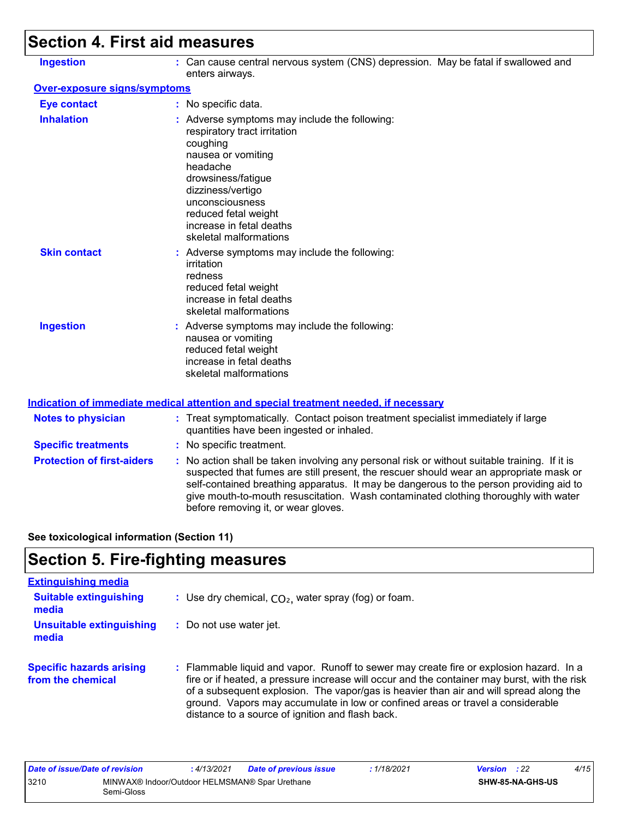# **Section 4. First aid measures**

| <b>Ingestion</b>             | : Can cause central nervous system (CNS) depression. May be fatal if swallowed and<br>enters airways.                                                                                                                                                                   |
|------------------------------|-------------------------------------------------------------------------------------------------------------------------------------------------------------------------------------------------------------------------------------------------------------------------|
| Over-exposure signs/symptoms |                                                                                                                                                                                                                                                                         |
| <b>Eye contact</b>           | : No specific data.                                                                                                                                                                                                                                                     |
| <b>Inhalation</b>            | : Adverse symptoms may include the following:<br>respiratory tract irritation<br>coughing<br>nausea or vomiting<br>headache<br>drowsiness/fatigue<br>dizziness/vertigo<br>unconsciousness<br>reduced fetal weight<br>increase in fetal deaths<br>skeletal malformations |
| <b>Skin contact</b>          | : Adverse symptoms may include the following:<br>irritation<br>redness<br>reduced fetal weight<br>increase in fetal deaths<br>skeletal malformations                                                                                                                    |
| <b>Ingestion</b>             | : Adverse symptoms may include the following:<br>nausea or vomiting<br>reduced fetal weight<br>increase in fetal deaths<br>skeletal malformations                                                                                                                       |
|                              | Indication of immediate medical attention and special treatment needed, if necessary                                                                                                                                                                                    |

| <b>Notes to physician</b>         | : Treat symptomatically. Contact poison treatment specialist immediately if large<br>quantities have been ingested or inhaled.                                                                                                                                                                                                                                                                                  |
|-----------------------------------|-----------------------------------------------------------------------------------------------------------------------------------------------------------------------------------------------------------------------------------------------------------------------------------------------------------------------------------------------------------------------------------------------------------------|
| <b>Specific treatments</b>        | : No specific treatment.                                                                                                                                                                                                                                                                                                                                                                                        |
| <b>Protection of first-aiders</b> | : No action shall be taken involving any personal risk or without suitable training. If it is<br>suspected that fumes are still present, the rescuer should wear an appropriate mask or<br>self-contained breathing apparatus. It may be dangerous to the person providing aid to<br>give mouth-to-mouth resuscitation. Wash contaminated clothing thoroughly with water<br>before removing it, or wear gloves. |

**See toxicological information (Section 11)**

### **Section 5. Fire-fighting measures**

| <b>Extinguishing media</b>                           |                                                                                                                                                                                                                                                                                                                                                                                                                          |
|------------------------------------------------------|--------------------------------------------------------------------------------------------------------------------------------------------------------------------------------------------------------------------------------------------------------------------------------------------------------------------------------------------------------------------------------------------------------------------------|
| <b>Suitable extinguishing</b><br>media               | : Use dry chemical, $CO2$ , water spray (fog) or foam.                                                                                                                                                                                                                                                                                                                                                                   |
| <b>Unsuitable extinguishing</b><br>media             | : Do not use water jet.                                                                                                                                                                                                                                                                                                                                                                                                  |
| <b>Specific hazards arising</b><br>from the chemical | : Flammable liquid and vapor. Runoff to sewer may create fire or explosion hazard. In a<br>fire or if heated, a pressure increase will occur and the container may burst, with the risk<br>of a subsequent explosion. The vapor/gas is heavier than air and will spread along the<br>ground. Vapors may accumulate in low or confined areas or travel a considerable<br>distance to a source of ignition and flash back. |

| Date of issue/Date of revision |                                                              | : 4/13/2021 | <b>Date of previous issue</b> | : 1/18/2021 | <b>Version</b> : 22 |                  | 4/15 |
|--------------------------------|--------------------------------------------------------------|-------------|-------------------------------|-------------|---------------------|------------------|------|
| 3210                           | MINWAX® Indoor/Outdoor HELMSMAN® Spar Urethane<br>Semi-Gloss |             |                               |             |                     | SHW-85-NA-GHS-US |      |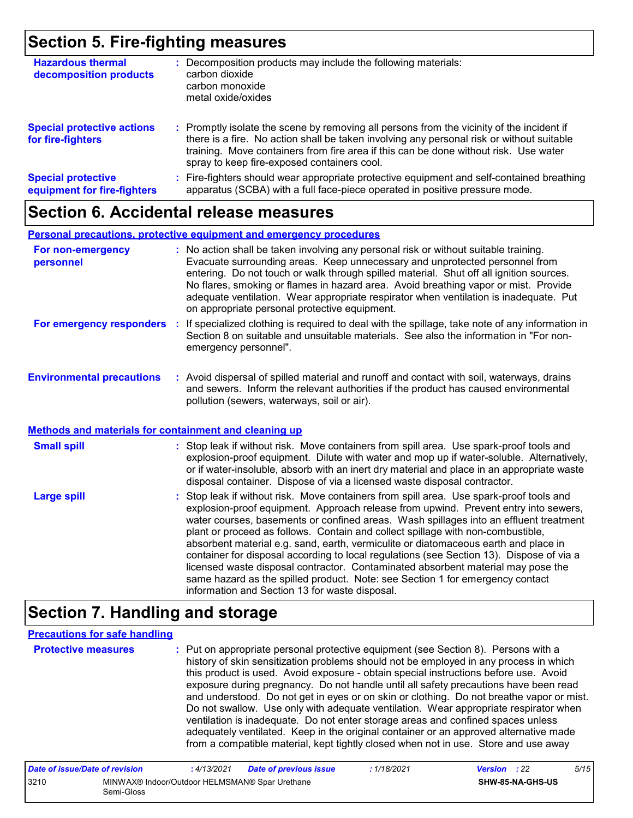### **Section 5. Fire-fighting measures**

| <b>Hazardous thermal</b><br>decomposition products       | Decomposition products may include the following materials:<br>carbon dioxide<br>carbon monoxide<br>metal oxide/oxides                                                                                                                                                                                                        |
|----------------------------------------------------------|-------------------------------------------------------------------------------------------------------------------------------------------------------------------------------------------------------------------------------------------------------------------------------------------------------------------------------|
| <b>Special protective actions</b><br>for fire-fighters   | : Promptly isolate the scene by removing all persons from the vicinity of the incident if<br>there is a fire. No action shall be taken involving any personal risk or without suitable<br>training. Move containers from fire area if this can be done without risk. Use water<br>spray to keep fire-exposed containers cool. |
| <b>Special protective</b><br>equipment for fire-fighters | Fire-fighters should wear appropriate protective equipment and self-contained breathing<br>÷.<br>apparatus (SCBA) with a full face-piece operated in positive pressure mode.                                                                                                                                                  |

### **Section 6. Accidental release measures**

#### **Personal precautions, protective equipment and emergency procedures**

| For non-emergency<br>personnel | : No action shall be taken involving any personal risk or without suitable training.<br>Evacuate surrounding areas. Keep unnecessary and unprotected personnel from<br>entering. Do not touch or walk through spilled material. Shut off all ignition sources.<br>No flares, smoking or flames in hazard area. Avoid breathing vapor or mist. Provide<br>adequate ventilation. Wear appropriate respirator when ventilation is inadequate. Put<br>on appropriate personal protective equipment. |
|--------------------------------|-------------------------------------------------------------------------------------------------------------------------------------------------------------------------------------------------------------------------------------------------------------------------------------------------------------------------------------------------------------------------------------------------------------------------------------------------------------------------------------------------|
| For emergency responders       | : If specialized clothing is required to deal with the spillage, take note of any information in<br>Section 8 on suitable and unsuitable materials. See also the information in "For non-<br>emergency personnel".                                                                                                                                                                                                                                                                              |

#### **Environmental precautions :** Avoid dispersal of spilled material and runoff and contact with soil, waterways, drains and sewers. Inform the relevant authorities if the product has caused environmental pollution (sewers, waterways, soil or air).

#### **Methods and materials for containment and cleaning up**

| <b>Small spill</b> | : Stop leak if without risk. Move containers from spill area. Use spark-proof tools and<br>explosion-proof equipment. Dilute with water and mop up if water-soluble. Alternatively,<br>or if water-insoluble, absorb with an inert dry material and place in an appropriate waste<br>disposal container. Dispose of via a licensed waste disposal contractor.                                                                                                                                                                                                                                                                                                                                                                                                        |
|--------------------|----------------------------------------------------------------------------------------------------------------------------------------------------------------------------------------------------------------------------------------------------------------------------------------------------------------------------------------------------------------------------------------------------------------------------------------------------------------------------------------------------------------------------------------------------------------------------------------------------------------------------------------------------------------------------------------------------------------------------------------------------------------------|
| <b>Large spill</b> | : Stop leak if without risk. Move containers from spill area. Use spark-proof tools and<br>explosion-proof equipment. Approach release from upwind. Prevent entry into sewers,<br>water courses, basements or confined areas. Wash spillages into an effluent treatment<br>plant or proceed as follows. Contain and collect spillage with non-combustible,<br>absorbent material e.g. sand, earth, vermiculite or diatomaceous earth and place in<br>container for disposal according to local regulations (see Section 13). Dispose of via a<br>licensed waste disposal contractor. Contaminated absorbent material may pose the<br>same hazard as the spilled product. Note: see Section 1 for emergency contact<br>information and Section 13 for waste disposal. |

### **Section 7. Handling and storage**

#### **Precautions for safe handling**

**Protective measures** : Put on appropriate personal protective equipment (see Section 8). Persons with a **Protestion** history of skin sensitization problems should not be employed in any process in which this product is used. Avoid exposure - obtain special instructions before use. Avoid exposure during pregnancy. Do not handle until all safety precautions have been read and understood. Do not get in eyes or on skin or clothing. Do not breathe vapor or mist. Do not swallow. Use only with adequate ventilation. Wear appropriate respirator when ventilation is inadequate. Do not enter storage areas and confined spaces unless adequately ventilated. Keep in the original container or an approved alternative made from a compatible material, kept tightly closed when not in use. Store and use away

| Date of issue/Date of revision |                                                              | 4/13/2021 | Date of previous issue | : 1/18/2021 | <b>Version</b> : 22 |                  | 5/15 |
|--------------------------------|--------------------------------------------------------------|-----------|------------------------|-------------|---------------------|------------------|------|
| 3210                           | MINWAX® Indoor/Outdoor HELMSMAN® Spar Urethane<br>Semi-Gloss |           |                        |             |                     | SHW-85-NA-GHS-US |      |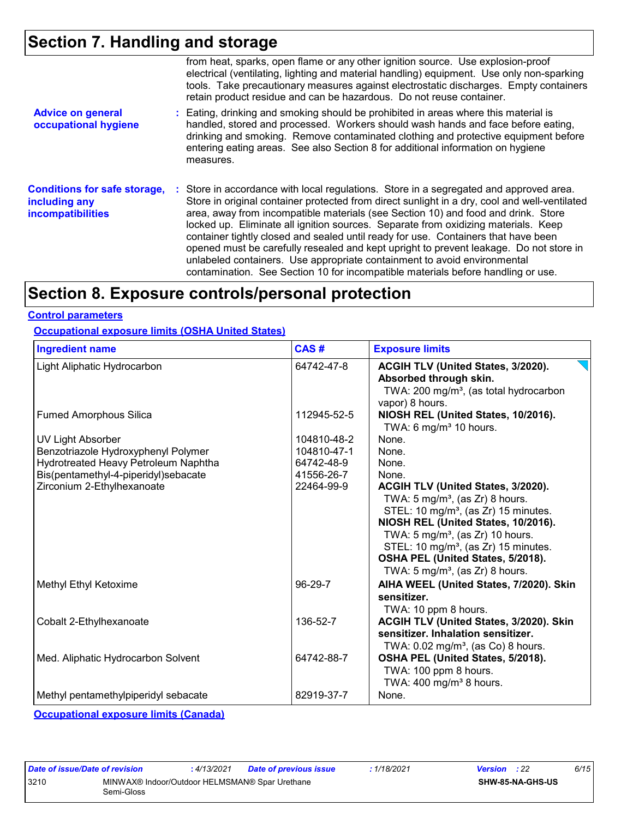### **Section 7. Handling and storage**

|                                                                                  | from heat, sparks, open flame or any other ignition source. Use explosion-proof<br>electrical (ventilating, lighting and material handling) equipment. Use only non-sparking<br>tools. Take precautionary measures against electrostatic discharges. Empty containers<br>retain product residue and can be hazardous. Do not reuse container.                                                                                                                                                                                                                                                                                                                                                                      |
|----------------------------------------------------------------------------------|--------------------------------------------------------------------------------------------------------------------------------------------------------------------------------------------------------------------------------------------------------------------------------------------------------------------------------------------------------------------------------------------------------------------------------------------------------------------------------------------------------------------------------------------------------------------------------------------------------------------------------------------------------------------------------------------------------------------|
| <b>Advice on general</b><br>occupational hygiene                                 | : Eating, drinking and smoking should be prohibited in areas where this material is<br>handled, stored and processed. Workers should wash hands and face before eating,<br>drinking and smoking. Remove contaminated clothing and protective equipment before<br>entering eating areas. See also Section 8 for additional information on hygiene<br>measures.                                                                                                                                                                                                                                                                                                                                                      |
| <b>Conditions for safe storage,</b><br>including any<br><b>incompatibilities</b> | : Store in accordance with local regulations. Store in a segregated and approved area.<br>Store in original container protected from direct sunlight in a dry, cool and well-ventilated<br>area, away from incompatible materials (see Section 10) and food and drink. Store<br>locked up. Eliminate all ignition sources. Separate from oxidizing materials. Keep<br>container tightly closed and sealed until ready for use. Containers that have been<br>opened must be carefully resealed and kept upright to prevent leakage. Do not store in<br>unlabeled containers. Use appropriate containment to avoid environmental<br>contamination. See Section 10 for incompatible materials before handling or use. |

### **Section 8. Exposure controls/personal protection**

#### **Control parameters**

### **Occupational exposure limits (OSHA United States)**

| <b>Ingredient name</b>                                              | CAS#        | <b>Exposure limits</b>                                                                                                                                                                                                                                                                                                                                            |
|---------------------------------------------------------------------|-------------|-------------------------------------------------------------------------------------------------------------------------------------------------------------------------------------------------------------------------------------------------------------------------------------------------------------------------------------------------------------------|
| Light Aliphatic Hydrocarbon                                         | 64742-47-8  | ACGIH TLV (United States, 3/2020).<br>Absorbed through skin.<br>TWA: 200 mg/m <sup>3</sup> , (as total hydrocarbon<br>vapor) 8 hours.                                                                                                                                                                                                                             |
| <b>Fumed Amorphous Silica</b>                                       | 112945-52-5 | NIOSH REL (United States, 10/2016).<br>TWA: 6 mg/m <sup>3</sup> 10 hours.                                                                                                                                                                                                                                                                                         |
| <b>UV Light Absorber</b>                                            | 104810-48-2 | None.                                                                                                                                                                                                                                                                                                                                                             |
| Benzotriazole Hydroxyphenyl Polymer                                 | 104810-47-1 | None.                                                                                                                                                                                                                                                                                                                                                             |
| Hydrotreated Heavy Petroleum Naphtha                                | 64742-48-9  | None.                                                                                                                                                                                                                                                                                                                                                             |
| Bis(pentamethyl-4-piperidyl)sebacate                                | 41556-26-7  | None.                                                                                                                                                                                                                                                                                                                                                             |
| Zirconium 2-Ethylhexanoate                                          | 22464-99-9  | ACGIH TLV (United States, 3/2020).<br>TWA: $5 \text{ mg/m}^3$ , (as Zr) 8 hours.<br>STEL: 10 mg/m <sup>3</sup> , (as Zr) 15 minutes.<br>NIOSH REL (United States, 10/2016).<br>TWA: $5 \text{ mg/m}^3$ , (as Zr) 10 hours.<br>STEL: 10 mg/m <sup>3</sup> , (as Zr) 15 minutes.<br>OSHA PEL (United States, 5/2018).<br>TWA: $5 \text{ mg/m}^3$ , (as Zr) 8 hours. |
| Methyl Ethyl Ketoxime                                               | 96-29-7     | AIHA WEEL (United States, 7/2020). Skin                                                                                                                                                                                                                                                                                                                           |
|                                                                     |             | sensitizer.                                                                                                                                                                                                                                                                                                                                                       |
|                                                                     |             | TWA: 10 ppm 8 hours.                                                                                                                                                                                                                                                                                                                                              |
| Cobalt 2-Ethylhexanoate                                             | 136-52-7    | ACGIH TLV (United States, 3/2020). Skin<br>sensitizer. Inhalation sensitizer.<br>TWA: $0.02$ mg/m <sup>3</sup> , (as Co) 8 hours.                                                                                                                                                                                                                                 |
| Med. Aliphatic Hydrocarbon Solvent                                  | 64742-88-7  | OSHA PEL (United States, 5/2018).<br>TWA: 100 ppm 8 hours.<br>TWA: $400 \text{ mg/m}^3$ 8 hours.                                                                                                                                                                                                                                                                  |
| Methyl pentamethylpiperidyl sebacate                                | 82919-37-7  | None.                                                                                                                                                                                                                                                                                                                                                             |
| and the country of the company of the state of the company of the V |             |                                                                                                                                                                                                                                                                                                                                                                   |

**Occupational exposure limits (Canada)**

| Date of issue/Date of revision |                                                              | : 4/13/2021 | Date of previous issue | : 1/18/2021 | <b>Version</b> : 22 |                         | 6/15 |
|--------------------------------|--------------------------------------------------------------|-------------|------------------------|-------------|---------------------|-------------------------|------|
| 3210                           | MINWAX® Indoor/Outdoor HELMSMAN® Spar Urethane<br>Semi-Gloss |             |                        |             |                     | <b>SHW-85-NA-GHS-US</b> |      |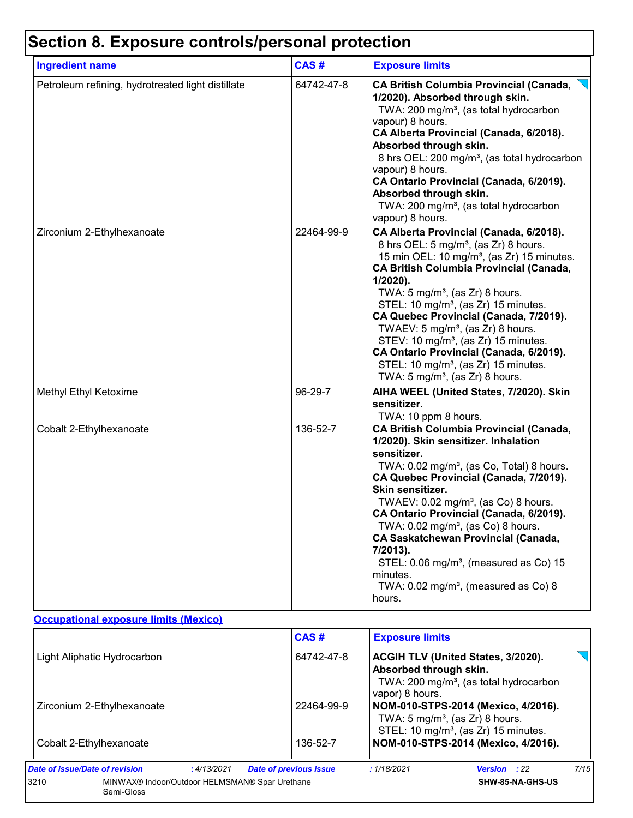# **Section 8. Exposure controls/personal protection**

| <b>Ingredient name</b>                            | CAS#       | <b>Exposure limits</b>                                                                                                                                                                                                                                                                                                                                                                                                                                                                                                                                                                                             |
|---------------------------------------------------|------------|--------------------------------------------------------------------------------------------------------------------------------------------------------------------------------------------------------------------------------------------------------------------------------------------------------------------------------------------------------------------------------------------------------------------------------------------------------------------------------------------------------------------------------------------------------------------------------------------------------------------|
| Petroleum refining, hydrotreated light distillate | 64742-47-8 | <b>CA British Columbia Provincial (Canada,</b><br>1/2020). Absorbed through skin.<br>TWA: 200 mg/m <sup>3</sup> , (as total hydrocarbon<br>vapour) 8 hours.<br>CA Alberta Provincial (Canada, 6/2018).<br>Absorbed through skin.<br>8 hrs OEL: 200 mg/m <sup>3</sup> , (as total hydrocarbon<br>vapour) 8 hours.<br>CA Ontario Provincial (Canada, 6/2019).<br>Absorbed through skin.<br>TWA: 200 mg/m <sup>3</sup> , (as total hydrocarbon<br>vapour) 8 hours.                                                                                                                                                    |
| Zirconium 2-Ethylhexanoate                        | 22464-99-9 | CA Alberta Provincial (Canada, 6/2018).<br>8 hrs OEL: 5 mg/m <sup>3</sup> , (as Zr) 8 hours.<br>15 min OEL: 10 mg/m <sup>3</sup> , (as Zr) 15 minutes.<br><b>CA British Columbia Provincial (Canada,</b><br>1/2020).<br>TWA: $5 \text{ mg/m}^3$ , (as Zr) 8 hours.<br>STEL: 10 mg/m <sup>3</sup> , (as Zr) 15 minutes.<br>CA Quebec Provincial (Canada, 7/2019).<br>TWAEV: 5 mg/m <sup>3</sup> , (as Zr) 8 hours.<br>STEV: 10 mg/m <sup>3</sup> , (as Zr) 15 minutes.<br>CA Ontario Provincial (Canada, 6/2019).<br>STEL: 10 mg/m <sup>3</sup> , (as Zr) 15 minutes.<br>TWA: $5 \text{ mg/m}^3$ , (as Zr) 8 hours. |
| Methyl Ethyl Ketoxime                             | 96-29-7    | AIHA WEEL (United States, 7/2020). Skin<br>sensitizer.                                                                                                                                                                                                                                                                                                                                                                                                                                                                                                                                                             |
| Cobalt 2-Ethylhexanoate                           | 136-52-7   | TWA: 10 ppm 8 hours.<br><b>CA British Columbia Provincial (Canada,</b><br>1/2020). Skin sensitizer. Inhalation<br>sensitizer.<br>TWA: 0.02 mg/m <sup>3</sup> , (as Co, Total) 8 hours.<br>CA Quebec Provincial (Canada, 7/2019).<br>Skin sensitizer.<br>TWAEV: $0.02$ mg/m <sup>3</sup> , (as Co) 8 hours.<br>CA Ontario Provincial (Canada, 6/2019).<br>TWA: 0.02 mg/m <sup>3</sup> , (as Co) 8 hours.<br><b>CA Saskatchewan Provincial (Canada,</b><br>7/2013).<br>STEL: 0.06 mg/m <sup>3</sup> , (measured as Co) 15<br>minutes.<br>TWA: 0.02 mg/m <sup>3</sup> , (measured as Co) 8<br>hours.                  |

#### **Occupational exposure limits (Mexico)**

|                                                                      | CAS#                          | <b>Exposure limits</b>                     |                                                                                                 |      |
|----------------------------------------------------------------------|-------------------------------|--------------------------------------------|-------------------------------------------------------------------------------------------------|------|
| Light Aliphatic Hydrocarbon                                          | 64742-47-8                    | Absorbed through skin.<br>vapor) 8 hours.  | <b>ACGIH TLV (United States, 3/2020).</b><br>TWA: 200 mg/m <sup>3</sup> , (as total hydrocarbon |      |
| Zirconium 2-Ethylhexanoate                                           | 22464-99-9                    | TWA: $5 \text{ mg/m}^3$ , (as Zr) 8 hours. | NOM-010-STPS-2014 (Mexico, 4/2016).<br>STEL: 10 mg/m <sup>3</sup> , (as Zr) 15 minutes.         |      |
| Cobalt 2-Ethylhexanoate                                              | 136-52-7                      |                                            | NOM-010-STPS-2014 (Mexico, 4/2016).                                                             |      |
| Date of issue/Date of revision<br>: 4/13/2021                        | <b>Date of previous issue</b> | :1/18/2021                                 | <b>Version</b> : 22                                                                             | 7/15 |
| 3210<br>MINWAX® Indoor/Outdoor HELMSMAN® Spar Urethane<br>Semi-Gloss |                               |                                            | SHW-85-NA-GHS-US                                                                                |      |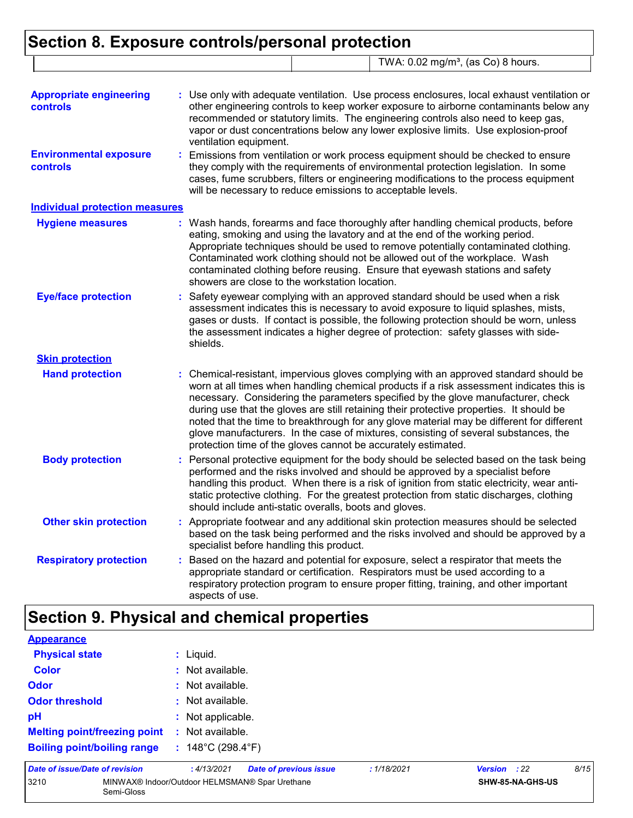|                                                  | Section 8. Exposure controls/personal protection                                                                                                                                                                                                                                                                                                                                                                                                                                                                                                                                                                       |  |  |
|--------------------------------------------------|------------------------------------------------------------------------------------------------------------------------------------------------------------------------------------------------------------------------------------------------------------------------------------------------------------------------------------------------------------------------------------------------------------------------------------------------------------------------------------------------------------------------------------------------------------------------------------------------------------------------|--|--|
|                                                  | TWA: 0.02 mg/m <sup>3</sup> , (as Co) 8 hours.                                                                                                                                                                                                                                                                                                                                                                                                                                                                                                                                                                         |  |  |
| <b>Appropriate engineering</b><br>controls       | : Use only with adequate ventilation. Use process enclosures, local exhaust ventilation or<br>other engineering controls to keep worker exposure to airborne contaminants below any<br>recommended or statutory limits. The engineering controls also need to keep gas,<br>vapor or dust concentrations below any lower explosive limits. Use explosion-proof<br>ventilation equipment.                                                                                                                                                                                                                                |  |  |
| <b>Environmental exposure</b><br><b>controls</b> | Emissions from ventilation or work process equipment should be checked to ensure<br>they comply with the requirements of environmental protection legislation. In some<br>cases, fume scrubbers, filters or engineering modifications to the process equipment<br>will be necessary to reduce emissions to acceptable levels.                                                                                                                                                                                                                                                                                          |  |  |
| <b>Individual protection measures</b>            |                                                                                                                                                                                                                                                                                                                                                                                                                                                                                                                                                                                                                        |  |  |
| <b>Hygiene measures</b>                          | : Wash hands, forearms and face thoroughly after handling chemical products, before<br>eating, smoking and using the lavatory and at the end of the working period.<br>Appropriate techniques should be used to remove potentially contaminated clothing.<br>Contaminated work clothing should not be allowed out of the workplace. Wash<br>contaminated clothing before reusing. Ensure that eyewash stations and safety<br>showers are close to the workstation location.                                                                                                                                            |  |  |
| <b>Eye/face protection</b>                       | Safety eyewear complying with an approved standard should be used when a risk<br>assessment indicates this is necessary to avoid exposure to liquid splashes, mists,<br>gases or dusts. If contact is possible, the following protection should be worn, unless<br>the assessment indicates a higher degree of protection: safety glasses with side-<br>shields.                                                                                                                                                                                                                                                       |  |  |
| <b>Skin protection</b>                           |                                                                                                                                                                                                                                                                                                                                                                                                                                                                                                                                                                                                                        |  |  |
| <b>Hand protection</b>                           | : Chemical-resistant, impervious gloves complying with an approved standard should be<br>worn at all times when handling chemical products if a risk assessment indicates this is<br>necessary. Considering the parameters specified by the glove manufacturer, check<br>during use that the gloves are still retaining their protective properties. It should be<br>noted that the time to breakthrough for any glove material may be different for different<br>glove manufacturers. In the case of mixtures, consisting of several substances, the<br>protection time of the gloves cannot be accurately estimated. |  |  |
| <b>Body protection</b>                           | Personal protective equipment for the body should be selected based on the task being<br>performed and the risks involved and should be approved by a specialist before<br>handling this product. When there is a risk of ignition from static electricity, wear anti-                                                                                                                                                                                                                                                                                                                                                 |  |  |

|                              | should include anti-static overalls, boots and gloves.                                                                                                                                                                    |
|------------------------------|---------------------------------------------------------------------------------------------------------------------------------------------------------------------------------------------------------------------------|
| <b>Other skin protection</b> | : Appropriate footwear and any additional skin protection measures should be selected<br>based on the task being performed and the risks involved and should be approved by a<br>specialist before handling this product. |

static protective clothing. For the greatest protection from static discharges, clothing

#### : Based on the hazard and potential for exposure, select a respirator that meets the appropriate standard or certification. Respirators must be used according to a respiratory protection program to ensure proper fitting, training, and other important aspects of use. **Respiratory protection :**

### **Section 9. Physical and chemical properties**

| <b>Appearance</b>                     |                                             |             |                     |      |
|---------------------------------------|---------------------------------------------|-------------|---------------------|------|
| <b>Physical state</b>                 | $:$ Liquid.                                 |             |                     |      |
| <b>Color</b>                          | : Not available.                            |             |                     |      |
| <b>Odor</b>                           | $:$ Not available.                          |             |                     |      |
| <b>Odor threshold</b>                 | $:$ Not available.                          |             |                     |      |
| pH                                    | : Not applicable.                           |             |                     |      |
| <b>Melting point/freezing point :</b> | Not available.                              |             |                     |      |
| <b>Boiling point/boiling range</b>    | : $148^{\circ}$ C (298.4 $^{\circ}$ F)      |             |                     |      |
| Date of issue/Date of revision        | <b>Date of previous issue</b><br>:4/13/2021 | : 1/18/2021 | <b>Version</b> : 22 | 8/15 |

| 3210 | MINWAX® Indoor/Outdoor HELMSMAN® Spar Urethane |  |
|------|------------------------------------------------|--|
|      | Semi-Gloss                                     |  |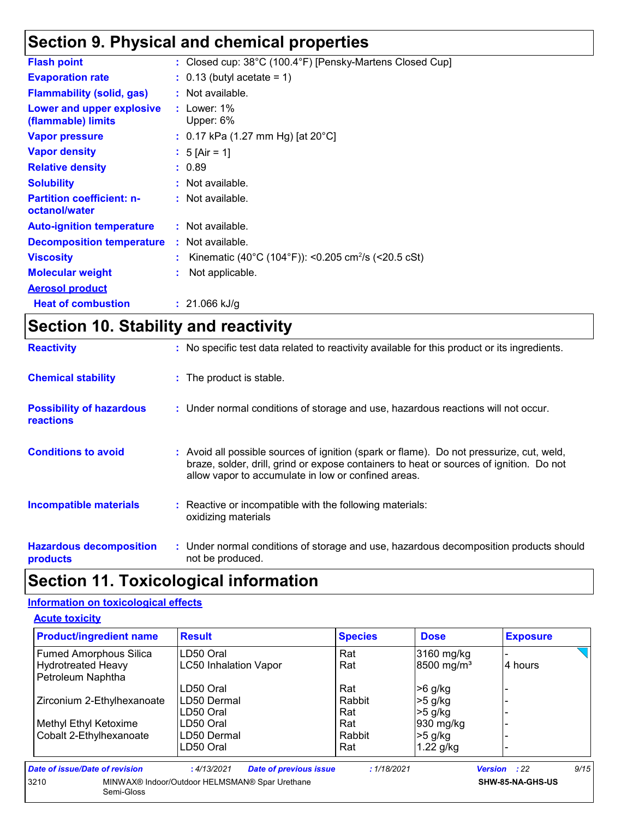### **Section 9. Physical and chemical properties**

| : Closed cup: 38°C (100.4°F) [Pensky-Martens Closed Cup]        |
|-----------------------------------------------------------------|
| $\therefore$ 0.13 (butyl acetate = 1)                           |
| : Not available.                                                |
| $:$ Lower: 1%<br>Upper: 6%                                      |
| : 0.17 kPa (1.27 mm Hg) [at $20^{\circ}$ C]                     |
| : 5 [Air = 1]                                                   |
| : 0.89                                                          |
| : Not available.                                                |
| $:$ Not available.                                              |
| $:$ Not available.                                              |
| $:$ Not available.                                              |
| Kinematic (40°C (104°F)): <0.205 cm <sup>2</sup> /s (<20.5 cSt) |
| Not applicable.                                                 |
|                                                                 |
| $: 21.066$ kJ/g                                                 |
|                                                                 |

### **Section 10. Stability and reactivity**

| <b>Reactivity</b>                                   | : No specific test data related to reactivity available for this product or its ingredients.                                                                                                                                               |
|-----------------------------------------------------|--------------------------------------------------------------------------------------------------------------------------------------------------------------------------------------------------------------------------------------------|
| <b>Chemical stability</b>                           | : The product is stable.                                                                                                                                                                                                                   |
| <b>Possibility of hazardous</b><br><b>reactions</b> | : Under normal conditions of storage and use, hazardous reactions will not occur.                                                                                                                                                          |
| <b>Conditions to avoid</b>                          | : Avoid all possible sources of ignition (spark or flame). Do not pressurize, cut, weld,<br>braze, solder, drill, grind or expose containers to heat or sources of ignition. Do not<br>allow vapor to accumulate in low or confined areas. |
| <b>Incompatible materials</b>                       | : Reactive or incompatible with the following materials:<br>oxidizing materials                                                                                                                                                            |
| <b>Hazardous decomposition</b><br>products          | : Under normal conditions of storage and use, hazardous decomposition products should<br>not be produced.                                                                                                                                  |

### **Section 11. Toxicological information**

### **Information on toxicological effects**

| <b>Product/ingredient name</b>                 | <b>Result</b>                                  | <b>Species</b> | <b>Dose</b>            | <b>Exposure</b>     |      |
|------------------------------------------------|------------------------------------------------|----------------|------------------------|---------------------|------|
| <b>Fumed Amorphous Silica</b>                  | LD50 Oral                                      | Rat            | 3160 mg/kg             |                     |      |
| <b>Hydrotreated Heavy</b><br>Petroleum Naphtha | <b>LC50 Inhalation Vapor</b>                   | Rat            | 8500 mg/m <sup>3</sup> | 4 hours             |      |
|                                                | LD50 Oral                                      | Rat            | $>6$ g/kg              |                     |      |
| Zirconium 2-Ethylhexanoate                     | LD50 Dermal                                    | Rabbit         | $>5$ g/kg              |                     |      |
|                                                | LD50 Oral                                      | Rat            | $>5$ g/kg              |                     |      |
| Methyl Ethyl Ketoxime                          | LD50 Oral                                      | Rat            | 930 mg/kg              |                     |      |
| Cobalt 2-Ethylhexanoate                        | LD50 Dermal                                    | Rabbit         | $>5$ g/kg              |                     |      |
|                                                | LD50 Oral                                      | Rat            | $1.22$ g/kg            |                     |      |
| Date of issue/Date of revision                 | <b>Date of previous issue</b><br>:4/13/2021    | : 1/18/2021    |                        | <b>Version</b> : 22 | 9/15 |
| 3210<br>Semi-Gloss                             | MINWAX® Indoor/Outdoor HELMSMAN® Spar Urethane |                |                        | SHW-85-NA-GHS-US    |      |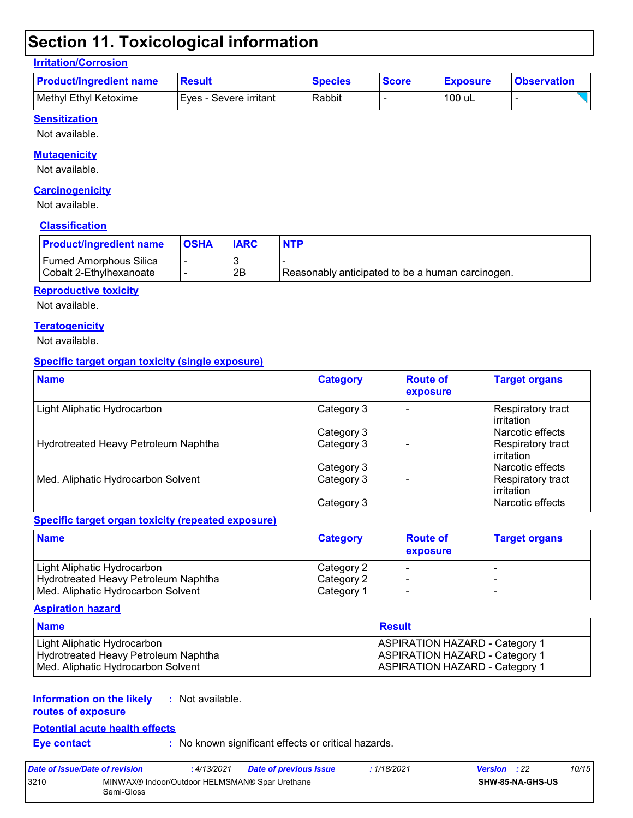### **Section 11. Toxicological information**

### **Irritation/Corrosion**

| <b>Product/ingredient name</b> | <b>Result</b>           | <b>Species</b> | <b>Score</b> | <b>Exposure</b> | <b>Observation</b> |
|--------------------------------|-------------------------|----------------|--------------|-----------------|--------------------|
| Methyl Ethyl Ketoxime          | IEves - Severe irritant | Rabbit         |              | 100 uL          |                    |

### **Sensitization**

Not available.

#### **Mutagenicity**

Not available.

#### **Carcinogenicity**

Not available.

#### **Classification**

| <b>Product/ingredient name</b>                           | <b>OSHA</b> | <b>IARC</b> | <b>NTP</b>                                       |
|----------------------------------------------------------|-------------|-------------|--------------------------------------------------|
| <b>Fumed Amorphous Silica</b><br>Cobalt 2-Ethylhexanoate |             | 2B          | Reasonably anticipated to be a human carcinogen. |

#### **Reproductive toxicity**

Not available.

#### **Teratogenicity**

Not available.

#### **Specific target organ toxicity (single exposure)**

| <b>Name</b>                          | <b>Category</b> | <b>Route of</b><br>exposure | <b>Target organs</b>                     |
|--------------------------------------|-----------------|-----------------------------|------------------------------------------|
| Light Aliphatic Hydrocarbon          | Category 3      |                             | <b>Respiratory tract</b><br>l irritation |
|                                      | Category 3      |                             | l Narcotic effects                       |
| Hydrotreated Heavy Petroleum Naphtha | Category 3      |                             | Respiratory tract<br>l irritation        |
|                                      | Category 3      |                             | l Narcotic effects                       |
| Med. Aliphatic Hydrocarbon Solvent   | Category 3      |                             | Respiratory tract<br>irritation          |
|                                      | Category 3      |                             | Narcotic effects                         |

#### **Specific target organ toxicity (repeated exposure)**

| <b>Name</b>                          | <b>Category</b> | <b>Route of</b><br>exposure | <b>Target organs</b> |
|--------------------------------------|-----------------|-----------------------------|----------------------|
| Light Aliphatic Hydrocarbon          | Category 2      |                             |                      |
| Hydrotreated Heavy Petroleum Naphtha | Category 2      |                             |                      |
| Med. Aliphatic Hydrocarbon Solvent   | Category 1      |                             |                      |

#### **Aspiration hazard**

| <b>Name</b>                          | <b>Result</b>                         |
|--------------------------------------|---------------------------------------|
| Light Aliphatic Hydrocarbon          | <b>ASPIRATION HAZARD - Category 1</b> |
| Hydrotreated Heavy Petroleum Naphtha | <b>ASPIRATION HAZARD - Category 1</b> |
| Med. Aliphatic Hydrocarbon Solvent   | <b>ASPIRATION HAZARD - Category 1</b> |

#### **Information on the likely :** Not available.

**routes of exposure**

#### **Potential acute health effects**

**Eye contact :** No known significant effects or critical hazards.

| Date of issue/Date of revision                                       |  | : 4/13/2021 | <b>Date of previous issue</b> | : 1/18/2021             | <b>Version</b> : 22 | 10/15 |
|----------------------------------------------------------------------|--|-------------|-------------------------------|-------------------------|---------------------|-------|
| 3210<br>MINWAX® Indoor/Outdoor HELMSMAN® Spar Urethane<br>Semi-Gloss |  |             |                               | <b>SHW-85-NA-GHS-US</b> |                     |       |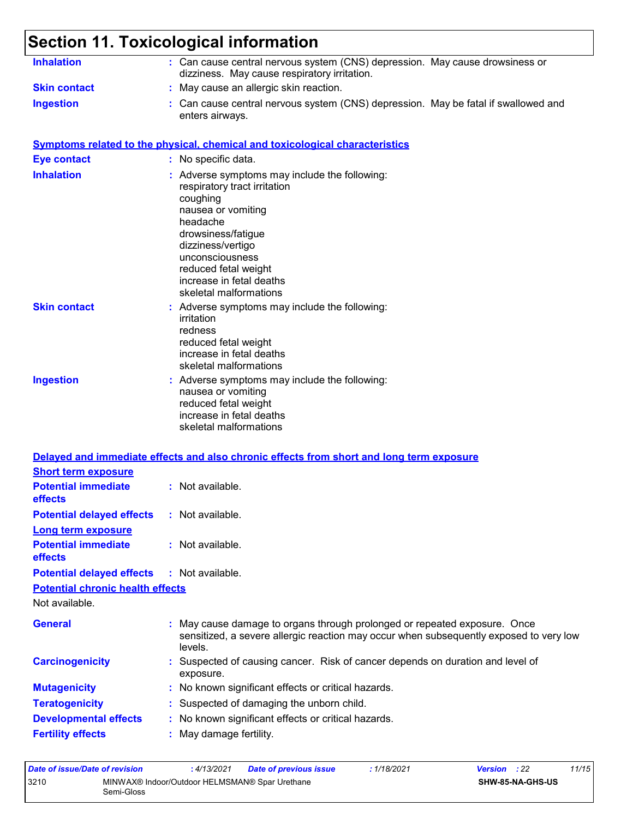#### **Section 11. Toxicological information Inhalation : Can cause central nervous system (CNS) depression. May cause drowsiness or** dizziness. May cause respiratory irritation. Can cause central nervous system (CNS) depression. May be fatal if swallowed and enters airways. **Ingestion : Skin contact :** May cause an allergic skin reaction. **Symptoms related to the physical, chemical and toxicological characteristics Skin contact Ingestion Inhalation 1. Interve**: Adverse symptoms may include the following: respiratory tract irritation coughing nausea or vomiting headache drowsiness/fatigue dizziness/vertigo unconsciousness reduced fetal weight increase in fetal deaths skeletal malformations Adverse symptoms may include the following: **:** nausea or vomiting reduced fetal weight increase in fetal deaths skeletal malformations Adverse symptoms may include the following: **:** irritation redness reduced fetal weight increase in fetal deaths skeletal malformations **Eye contact :** No specific data.

#### **Delayed and immediate effects and also chronic effects from short and long term exposure**

| $:$ Not available.                                                                                                                                                             |
|--------------------------------------------------------------------------------------------------------------------------------------------------------------------------------|
| : Not available.                                                                                                                                                               |
|                                                                                                                                                                                |
| $:$ Not available.                                                                                                                                                             |
| : Not available.                                                                                                                                                               |
|                                                                                                                                                                                |
|                                                                                                                                                                                |
| : May cause damage to organs through prolonged or repeated exposure. Once<br>sensitized, a severe allergic reaction may occur when subsequently exposed to very low<br>levels. |
| : Suspected of causing cancer. Risk of cancer depends on duration and level of<br>exposure.                                                                                    |
| : No known significant effects or critical hazards.                                                                                                                            |
| : Suspected of damaging the unborn child.                                                                                                                                      |
| : No known significant effects or critical hazards.                                                                                                                            |
| : May damage fertility.                                                                                                                                                        |
| <b>Potential delayed effects</b><br><b>Potential chronic health effects</b>                                                                                                    |

| Date of issue/Date of revision |                                                              | :4/13/2021 | <b>Date of previous issue</b> | : 1/18/2021 | <b>Version</b> : 22 |                         | 11/15 |
|--------------------------------|--------------------------------------------------------------|------------|-------------------------------|-------------|---------------------|-------------------------|-------|
| 3210                           | MINWAX® Indoor/Outdoor HELMSMAN® Spar Urethane<br>Semi-Gloss |            |                               |             |                     | <b>SHW-85-NA-GHS-US</b> |       |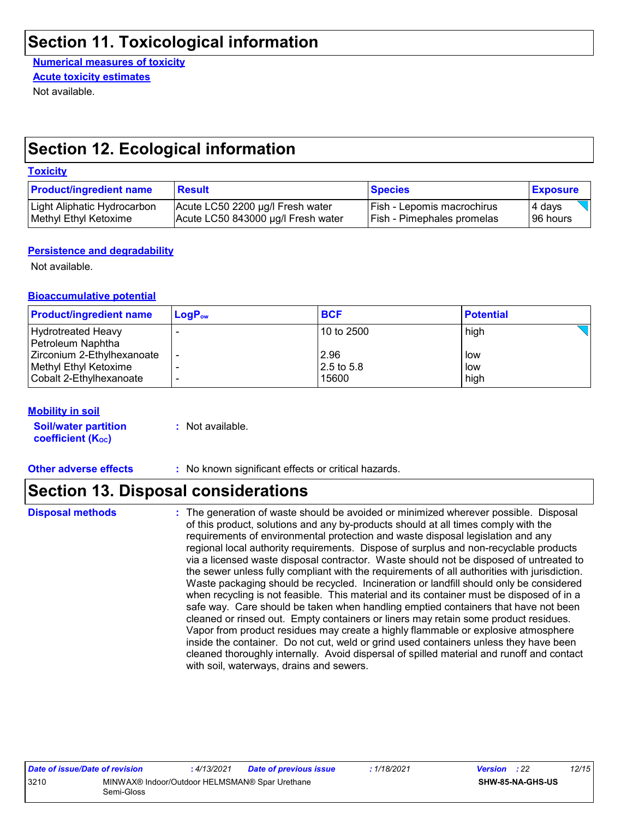### **Section 11. Toxicological information**

**Numerical measures of toxicity** Not available. **Acute toxicity estimates**

### **Section 12. Ecological information**

#### **Toxicity**

| <b>Product/ingredient name</b> | <b>Result</b>                      | <b>Species</b>                    | <b>Exposure</b> |
|--------------------------------|------------------------------------|-----------------------------------|-----------------|
| Light Aliphatic Hydrocarbon    | Acute LC50 2200 µg/l Fresh water   | <b>Fish - Lepomis macrochirus</b> | 4 days          |
| Methyl Ethyl Ketoxime          | Acute LC50 843000 µg/l Fresh water | <b>Fish - Pimephales promelas</b> | 196 hours       |

#### **Persistence and degradability**

Not available.

#### **Bioaccumulative potential**

| <b>Product/ingredient name</b> | $LoaPow$ | <b>BCF</b>              | <b>Potential</b> |
|--------------------------------|----------|-------------------------|------------------|
| Hydrotreated Heavy             |          | 10 to 2500              | high             |
| Petroleum Naphtha              |          |                         |                  |
| Zirconium 2-Ethylhexanoate     |          | 2.96                    | low              |
| Methyl Ethyl Ketoxime          |          | $ 2.5 \text{ to } 5.8 $ | low              |
| Cobalt 2-Ethylhexanoate        |          | 15600                   | high             |

#### **Mobility in soil**

**Soil/water partition coefficient (K**<sup>oc</sup>)

**:** Not available.

**Other adverse effects** : No known significant effects or critical hazards.

### **Section 13. Disposal considerations**

**Disposal methods :**

The generation of waste should be avoided or minimized wherever possible. Disposal of this product, solutions and any by-products should at all times comply with the requirements of environmental protection and waste disposal legislation and any regional local authority requirements. Dispose of surplus and non-recyclable products via a licensed waste disposal contractor. Waste should not be disposed of untreated to the sewer unless fully compliant with the requirements of all authorities with jurisdiction. Waste packaging should be recycled. Incineration or landfill should only be considered when recycling is not feasible. This material and its container must be disposed of in a safe way. Care should be taken when handling emptied containers that have not been cleaned or rinsed out. Empty containers or liners may retain some product residues. Vapor from product residues may create a highly flammable or explosive atmosphere inside the container. Do not cut, weld or grind used containers unless they have been cleaned thoroughly internally. Avoid dispersal of spilled material and runoff and contact with soil, waterways, drains and sewers.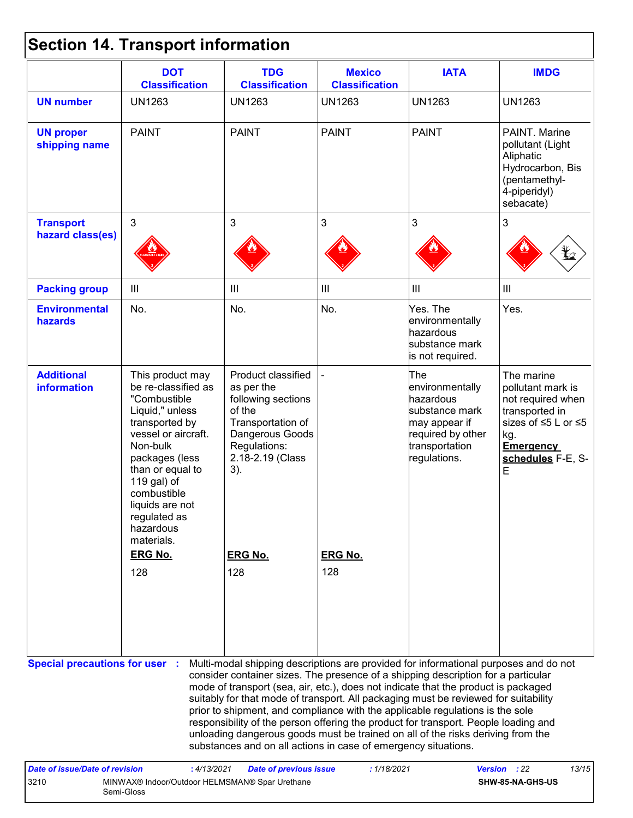## **Section 14. Transport information**

| <b>DOT</b><br><b>Classification</b>                                                                                                                                                                                                                               | <b>TDG</b><br><b>Classification</b>                                                                                                                 | <b>Mexico</b><br><b>Classification</b> | <b>IATA</b>                                                                                                                   | <b>IMDG</b>                                                                                                                                                                                                                                                                                                                                                                                                                                                                                                                                                                                                       |
|-------------------------------------------------------------------------------------------------------------------------------------------------------------------------------------------------------------------------------------------------------------------|-----------------------------------------------------------------------------------------------------------------------------------------------------|----------------------------------------|-------------------------------------------------------------------------------------------------------------------------------|-------------------------------------------------------------------------------------------------------------------------------------------------------------------------------------------------------------------------------------------------------------------------------------------------------------------------------------------------------------------------------------------------------------------------------------------------------------------------------------------------------------------------------------------------------------------------------------------------------------------|
| <b>UN1263</b>                                                                                                                                                                                                                                                     | <b>UN1263</b>                                                                                                                                       | <b>UN1263</b>                          | <b>UN1263</b>                                                                                                                 | <b>UN1263</b>                                                                                                                                                                                                                                                                                                                                                                                                                                                                                                                                                                                                     |
| <b>PAINT</b>                                                                                                                                                                                                                                                      | <b>PAINT</b>                                                                                                                                        | <b>PAINT</b>                           | <b>PAINT</b>                                                                                                                  | PAINT. Marine<br>pollutant (Light<br>Aliphatic<br>Hydrocarbon, Bis<br>(pentamethyl-<br>4-piperidyl)<br>sebacate)                                                                                                                                                                                                                                                                                                                                                                                                                                                                                                  |
| $\mathbf{3}$                                                                                                                                                                                                                                                      | 3                                                                                                                                                   | 3                                      | 3                                                                                                                             | 3                                                                                                                                                                                                                                                                                                                                                                                                                                                                                                                                                                                                                 |
|                                                                                                                                                                                                                                                                   |                                                                                                                                                     |                                        |                                                                                                                               |                                                                                                                                                                                                                                                                                                                                                                                                                                                                                                                                                                                                                   |
| $\mathbf{III}$                                                                                                                                                                                                                                                    | Ш                                                                                                                                                   | III                                    | $\mathbf{III}$                                                                                                                | III                                                                                                                                                                                                                                                                                                                                                                                                                                                                                                                                                                                                               |
| No.                                                                                                                                                                                                                                                               | No.                                                                                                                                                 | No.                                    | Yes. The<br>environmentally<br>hazardous<br>substance mark<br>is not required.                                                | Yes.                                                                                                                                                                                                                                                                                                                                                                                                                                                                                                                                                                                                              |
| This product may<br>be re-classified as<br>"Combustible<br>Liquid," unless<br>transported by<br>vessel or aircraft.<br>Non-bulk<br>packages (less<br>than or equal to<br>119 gal) of<br>combustible<br>liquids are not<br>regulated as<br>hazardous<br>materials. | Product classified<br>as per the<br>following sections<br>of the<br>Transportation of<br>Dangerous Goods<br>Regulations:<br>2.18-2.19 (Class<br>3). |                                        | The<br>environmentally<br>hazardous<br>substance mark<br>may appear if<br>required by other<br>transportation<br>regulations. | The marine<br>pollutant mark is<br>not required when<br>transported in<br>sizes of ≤5 L or ≤5<br>kg.<br><b>Emergency</b><br>schedules F-E, S-<br>E                                                                                                                                                                                                                                                                                                                                                                                                                                                                |
|                                                                                                                                                                                                                                                                   | <b>ERG No.</b>                                                                                                                                      | <b>ERG No.</b>                         |                                                                                                                               |                                                                                                                                                                                                                                                                                                                                                                                                                                                                                                                                                                                                                   |
|                                                                                                                                                                                                                                                                   |                                                                                                                                                     |                                        |                                                                                                                               |                                                                                                                                                                                                                                                                                                                                                                                                                                                                                                                                                                                                                   |
|                                                                                                                                                                                                                                                                   | <b>ERG No.</b><br>128<br><b>Special precautions for user :</b>                                                                                      | 128                                    | 128                                                                                                                           | Multi-modal shipping descriptions are provided for informational purposes and do not<br>consider container sizes. The presence of a shipping description for a particular<br>mode of transport (sea, air, etc.), does not indicate that the product is packaged<br>suitably for that mode of transport. All packaging must be reviewed for suitability<br>prior to shipment, and compliance with the applicable regulations is the sole<br>responsibility of the person offering the product for transport. People loading and<br>unloading dangerous goods must be trained on all of the risks deriving from the |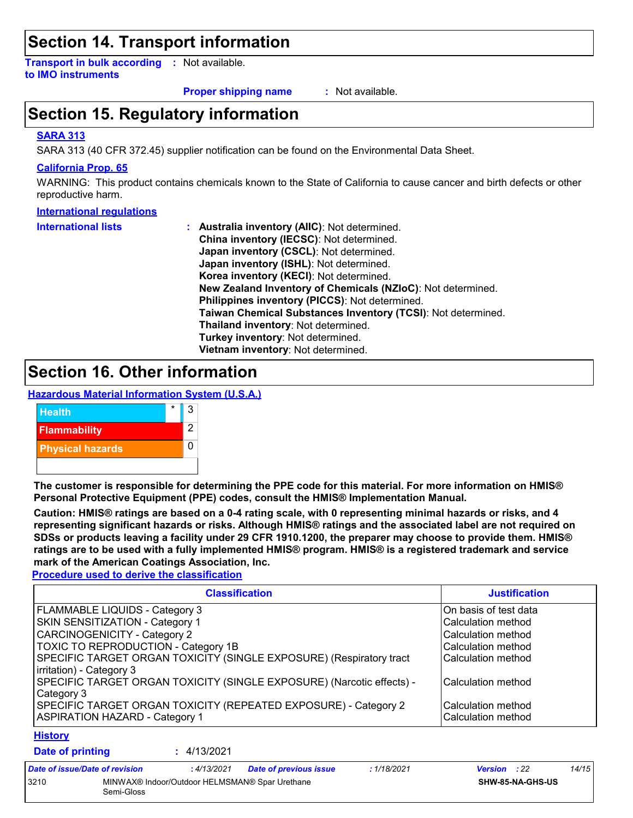### **Section 14. Transport information**

**Transport in bulk according :** Not available. **to IMO instruments**

**Proper shipping name :**

: Not available.

### **Section 15. Regulatory information**

#### **SARA 313**

SARA 313 (40 CFR 372.45) supplier notification can be found on the Environmental Data Sheet.

#### **California Prop. 65**

WARNING: This product contains chemicals known to the State of California to cause cancer and birth defects or other reproductive harm.

#### **International regulations**

| <b>International lists</b> | : Australia inventory (AIIC): Not determined.                |
|----------------------------|--------------------------------------------------------------|
|                            | China inventory (IECSC): Not determined.                     |
|                            | Japan inventory (CSCL): Not determined.                      |
|                            | Japan inventory (ISHL): Not determined.                      |
|                            | Korea inventory (KECI): Not determined.                      |
|                            | New Zealand Inventory of Chemicals (NZIoC): Not determined.  |
|                            | Philippines inventory (PICCS): Not determined.               |
|                            | Taiwan Chemical Substances Inventory (TCSI): Not determined. |
|                            | Thailand inventory: Not determined.                          |
|                            | Turkey inventory: Not determined.                            |
|                            | Vietnam inventory: Not determined.                           |

### **Section 16. Other information**

**Hazardous Material Information System (U.S.A.)**



**The customer is responsible for determining the PPE code for this material. For more information on HMIS® Personal Protective Equipment (PPE) codes, consult the HMIS® Implementation Manual.**

**Caution: HMIS® ratings are based on a 0-4 rating scale, with 0 representing minimal hazards or risks, and 4 representing significant hazards or risks. Although HMIS® ratings and the associated label are not required on SDSs or products leaving a facility under 29 CFR 1910.1200, the preparer may choose to provide them. HMIS® ratings are to be used with a fully implemented HMIS® program. HMIS® is a registered trademark and service mark of the American Coatings Association, Inc.**

**Procedure used to derive the classification**

| <b>Classification</b>                                                                                    | <b>Justification</b>                       |
|----------------------------------------------------------------------------------------------------------|--------------------------------------------|
| <b>FLAMMABLE LIQUIDS - Category 3</b>                                                                    | On basis of test data                      |
| SKIN SENSITIZATION - Category 1                                                                          | l Calculation method                       |
| CARCINOGENICITY - Category 2                                                                             | Calculation method                         |
| <b>TOXIC TO REPRODUCTION - Category 1B</b>                                                               | Calculation method                         |
| SPECIFIC TARGET ORGAN TOXICITY (SINGLE EXPOSURE) (Respiratory tract<br>irritation) - Category 3          | l Calculation method                       |
| SPECIFIC TARGET ORGAN TOXICITY (SINGLE EXPOSURE) (Narcotic effects) -<br>Category 3                      | Calculation method                         |
| SPECIFIC TARGET ORGAN TOXICITY (REPEATED EXPOSURE) - Category 2<br><b>ASPIRATION HAZARD - Category 1</b> | l Calculation method<br>Calculation method |

#### **History**

| <b>Date of printing</b>        |            | 4/13/2021   |                                                |            |                     |                  |       |
|--------------------------------|------------|-------------|------------------------------------------------|------------|---------------------|------------------|-------|
| Date of issue/Date of revision |            | : 4/13/2021 | <b>Date of previous issue</b>                  | :1/18/2021 | <b>Version</b> : 22 |                  | 14/15 |
| 3210                           | Semi-Gloss |             | MINWAX® Indoor/Outdoor HELMSMAN® Spar Urethane |            |                     | SHW-85-NA-GHS-US |       |